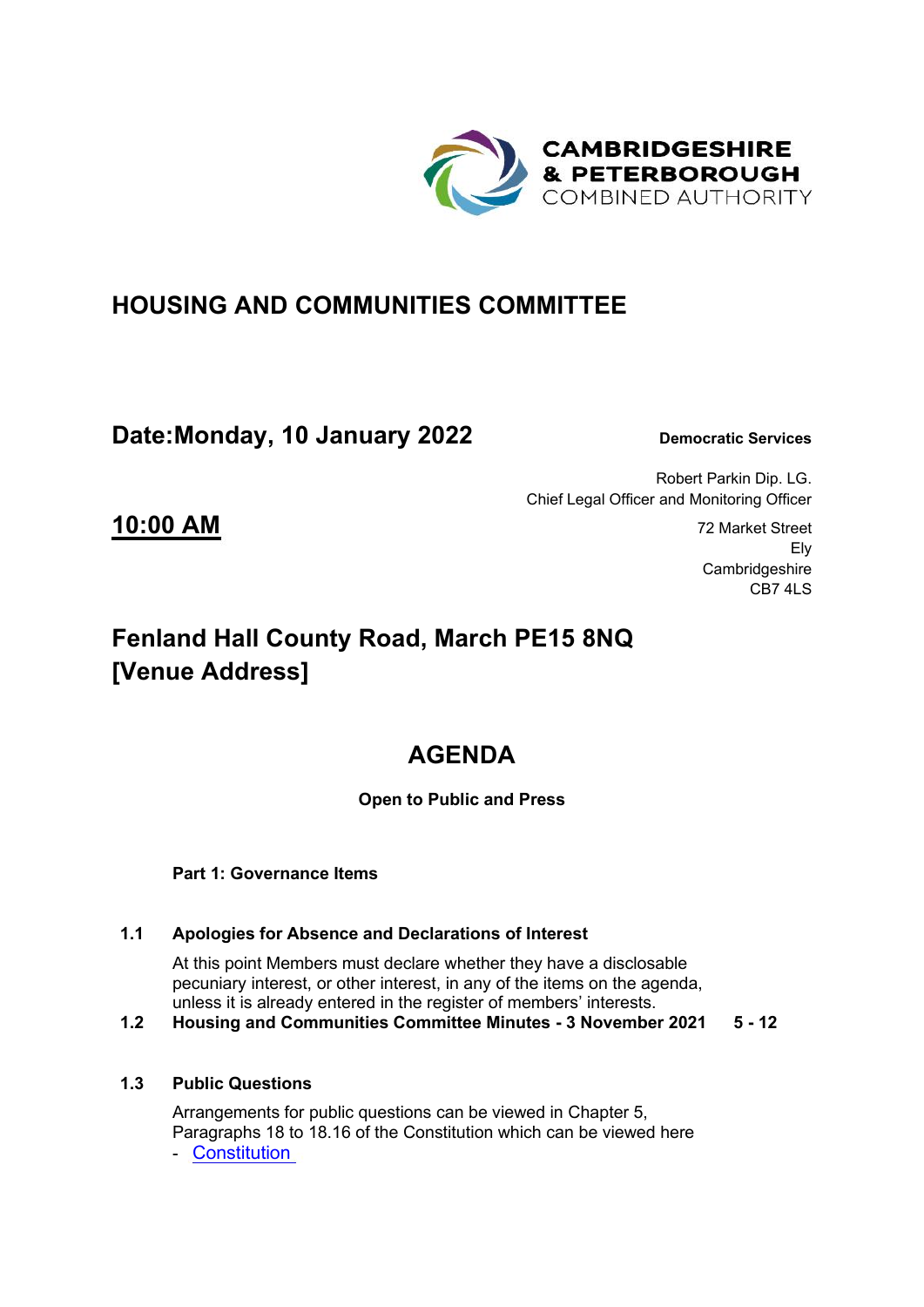

## **HOUSING AND COMMUNITIES COMMITTEE**

## **Date:Monday, 10 January 2022 Democratic Services**

Robert Parkin Dip. LG. Chief Legal Officer and Monitoring Officer

**10:00 AM** 72 Market Street Ely **Cambridgeshire** CB7 4LS

## **Fenland Hall County Road, March PE15 8NQ [Venue Address]**

# **AGENDA**

### **Open to Public and Press**

#### **Part 1: Governance Items**

### **1.1 Apologies for Absence and Declarations of Interest**

At this point Members must declare whether they have a disclosable pecuniary interest, or other interest, in any of the items on the agenda, unless it is already entered in the register of members' interests.

**1.2 Housing and Communities Committee Minutes - 3 November 2021 5 - 12**

#### **1.3 Public Questions**

Arrangements for public questions can be viewed in Chapter 5, Paragraphs 18 to 18.16 of the Constitution which can be viewed here - [Constitution](https://cambridgeshirepeterborough-ca.gov.uk/assets/Transparency/Constitution-Final-2020-11-06-for-website.pdf)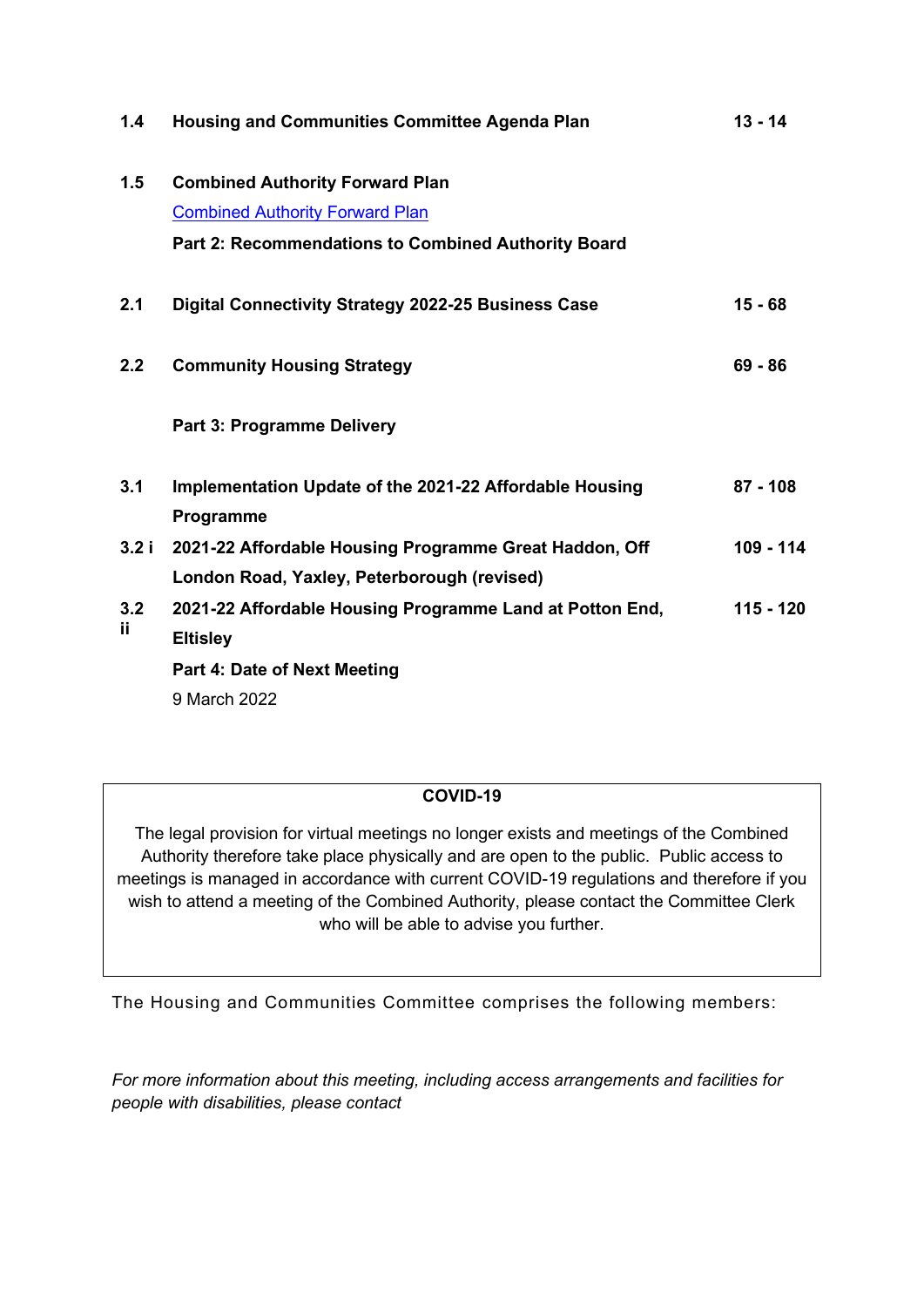| <b>Housing and Communities Committee Agenda Plan</b>     | $13 - 14$                                                                                                          |
|----------------------------------------------------------|--------------------------------------------------------------------------------------------------------------------|
| <b>Combined Authority Forward Plan</b>                   |                                                                                                                    |
| <b>Combined Authority Forward Plan</b>                   |                                                                                                                    |
| Part 2: Recommendations to Combined Authority Board      |                                                                                                                    |
| Digital Connectivity Strategy 2022-25 Business Case      | $15 - 68$                                                                                                          |
| <b>Community Housing Strategy</b>                        | $69 - 86$                                                                                                          |
| <b>Part 3: Programme Delivery</b>                        |                                                                                                                    |
| Implementation Update of the 2021-22 Affordable Housing  | $87 - 108$                                                                                                         |
|                                                          |                                                                                                                    |
|                                                          | 109 - 114                                                                                                          |
|                                                          |                                                                                                                    |
| 2021-22 Affordable Housing Programme Land at Potton End, | 115 - 120                                                                                                          |
| <b>Eltisley</b>                                          |                                                                                                                    |
| Part 4: Date of Next Meeting                             |                                                                                                                    |
| 9 March 2022                                             |                                                                                                                    |
| 3.2 i                                                    | Programme<br>2021-22 Affordable Housing Programme Great Haddon, Off<br>London Road, Yaxley, Peterborough (revised) |

#### **COVID-19**

The legal provision for virtual meetings no longer exists and meetings of the Combined Authority therefore take place physically and are open to the public. Public access to meetings is managed in accordance with current COVID-19 regulations and therefore if you wish to attend a meeting of the Combined Authority, please contact the Committee Clerk who will be able to advise you further.

The Housing and Communities Committee comprises the following members:

*For more information about this meeting, including access arrangements and facilities for people with disabilities, please contact*